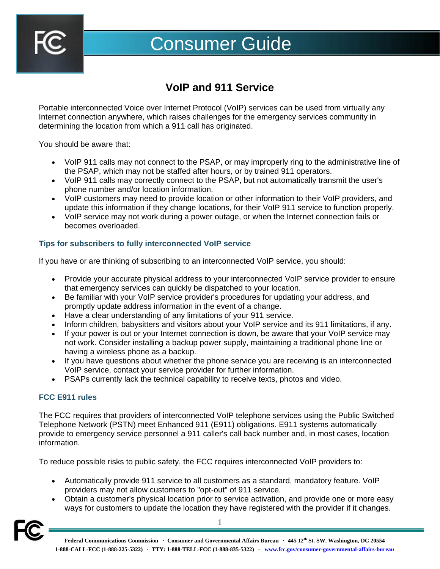

# Consumer Guide

## **VoIP and 911 Service**

Portable interconnected Voice over Internet Protocol (VoIP) services can be used from virtually any Internet connection anywhere, which raises challenges for the emergency services community in determining the location from which a 911 call has originated.

You should be aware that:

- VoIP 911 calls may not connect to the PSAP, or may improperly ring to the administrative line of the PSAP, which may not be staffed after hours, or by trained 911 operators.
- VoIP 911 calls may correctly connect to the PSAP, but not automatically transmit the user's phone number and/or location information.
- VoIP customers may need to provide location or other information to their VoIP providers, and update this information if they change locations, for their VoIP 911 service to function properly.
- VoIP service may not work during a power outage, or when the Internet connection fails or becomes overloaded.

#### **Tips for subscribers to fully interconnected VoIP service**

If you have or are thinking of subscribing to an interconnected VoIP service, you should:

- Provide your accurate physical address to your interconnected VoIP service provider to ensure that emergency services can quickly be dispatched to your location.
- Be familiar with your VoIP service provider's procedures for updating your address, and promptly update address information in the event of a change.
- Have a clear understanding of any limitations of your 911 service.
- Inform children, babysitters and visitors about your VoIP service and its 911 limitations, if any.
- If your power is out or your Internet connection is down, be aware that your VoIP service may not work. Consider installing a backup power supply, maintaining a traditional phone line or having a wireless phone as a backup.
- If you have questions about whether the phone service you are receiving is an interconnected VoIP service, contact your service provider for further information.
- PSAPs currently lack the technical capability to receive texts, photos and video.

#### **FCC E911 rules**

The FCC requires that providers of interconnected VoIP telephone services using the Public Switched Telephone Network (PSTN) meet Enhanced 911 (E911) obligations. E911 systems automatically provide to emergency service personnel a 911 caller's call back number and, in most cases, location information.

To reduce possible risks to public safety, the FCC requires interconnected VoIP providers to:

- Automatically provide 911 service to all customers as a standard, mandatory feature. VoIP providers may not allow customers to "opt-out" of 911 service.
- Obtain a customer's physical location prior to service activation, and provide one or more easy ways for customers to update the location they have registered with the provider if it changes.